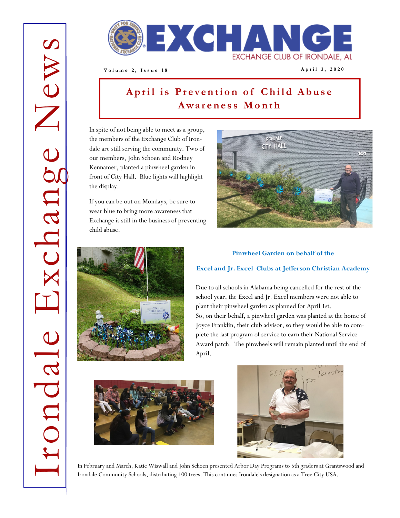

**V o l u m e 2 , I s s u e 1 8 A p r i l 3 , 2 0 2 0**

# April is Prevention of Child Abuse **A w a r e n e s s M o n t h**

In spite of not being able to meet as a group, the members of the Exchange Club of Irondale are still serving the community. Two of our members, John Schoen and Rodney Kennamer, planted a pinwheel garden in front of City Hall. Blue lights will highlight the display.

If you can be out on Mondays, be sure to wear blue to bring more awareness that Exchange is still in the business of preventing child abuse.







#### **Excel and Jr. Excel Clubs at Jefferson Christian Academy**

Due to all schools in Alabama being cancelled for the rest of the school year, the Excel and Jr. Excel members were not able to plant their pinwheel garden as planned for April 1st. So, on their behalf, a pinwheel garden was planted at the home of Joyce Franklin, their club advisor, so they would be able to complete the last program of service to earn their National Service Award patch. The pinwheels will remain planted until the end of April.





In February and March, Katie Wiswall and John Schoen presented Arbor Day Programs to 5th graders at Grantswood and Irondale Community Schools, distributing 100 trees. This continues Irondale's designation as a Tree City USA.